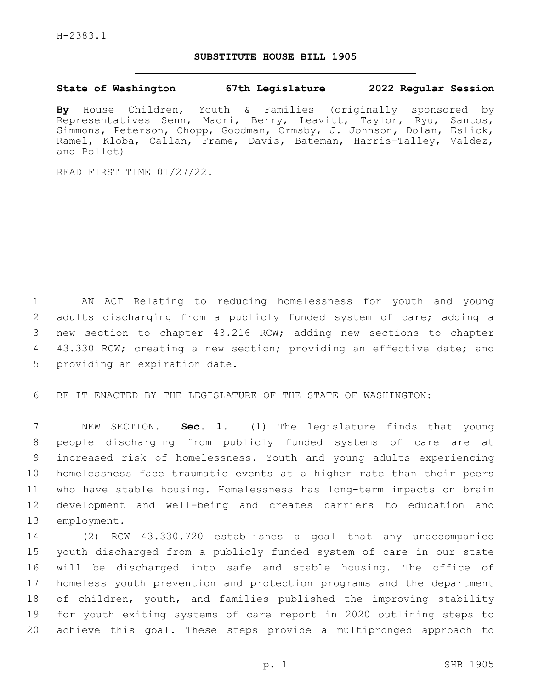## **SUBSTITUTE HOUSE BILL 1905**

## **State of Washington 67th Legislature 2022 Regular Session**

**By** House Children, Youth & Families (originally sponsored by Representatives Senn, Macri, Berry, Leavitt, Taylor, Ryu, Santos, Simmons, Peterson, Chopp, Goodman, Ormsby, J. Johnson, Dolan, Eslick, Ramel, Kloba, Callan, Frame, Davis, Bateman, Harris-Talley, Valdez, and Pollet)

READ FIRST TIME 01/27/22.

1 AN ACT Relating to reducing homelessness for youth and young 2 adults discharging from a publicly funded system of care; adding a 3 new section to chapter 43.216 RCW; adding new sections to chapter 4 43.330 RCW; creating a new section; providing an effective date; and 5 providing an expiration date.

6 BE IT ENACTED BY THE LEGISLATURE OF THE STATE OF WASHINGTON:

 NEW SECTION. **Sec. 1.** (1) The legislature finds that young people discharging from publicly funded systems of care are at increased risk of homelessness. Youth and young adults experiencing homelessness face traumatic events at a higher rate than their peers who have stable housing. Homelessness has long-term impacts on brain development and well-being and creates barriers to education and employment.

 (2) RCW 43.330.720 establishes a goal that any unaccompanied youth discharged from a publicly funded system of care in our state will be discharged into safe and stable housing. The office of homeless youth prevention and protection programs and the department of children, youth, and families published the improving stability for youth exiting systems of care report in 2020 outlining steps to achieve this goal. These steps provide a multipronged approach to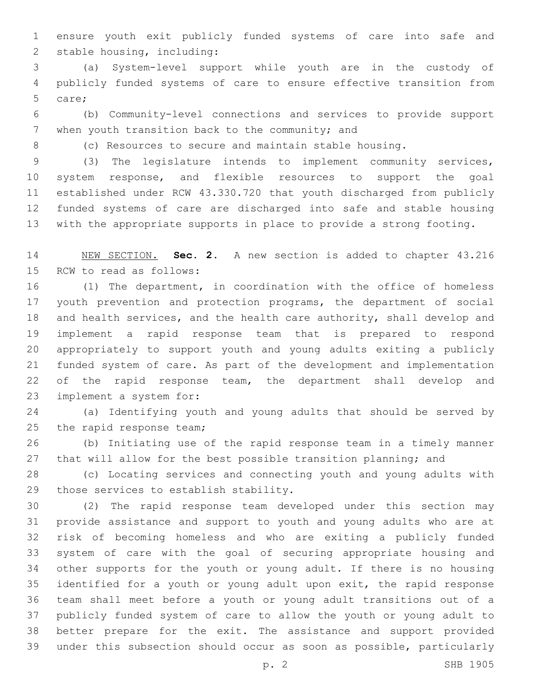ensure youth exit publicly funded systems of care into safe and 2 stable housing, including:

 (a) System-level support while youth are in the custody of publicly funded systems of care to ensure effective transition from 5 care;

 (b) Community-level connections and services to provide support 7 when youth transition back to the community; and

(c) Resources to secure and maintain stable housing.

 (3) The legislature intends to implement community services, system response, and flexible resources to support the goal established under RCW 43.330.720 that youth discharged from publicly funded systems of care are discharged into safe and stable housing with the appropriate supports in place to provide a strong footing.

 NEW SECTION. **Sec. 2.** A new section is added to chapter 43.216 15 RCW to read as follows:

 (1) The department, in coordination with the office of homeless youth prevention and protection programs, the department of social and health services, and the health care authority, shall develop and implement a rapid response team that is prepared to respond appropriately to support youth and young adults exiting a publicly funded system of care. As part of the development and implementation 22 of the rapid response team, the department shall develop and 23 implement a system for:

 (a) Identifying youth and young adults that should be served by 25 the rapid response team;

 (b) Initiating use of the rapid response team in a timely manner 27 that will allow for the best possible transition planning; and

 (c) Locating services and connecting youth and young adults with 29 those services to establish stability.

 (2) The rapid response team developed under this section may provide assistance and support to youth and young adults who are at risk of becoming homeless and who are exiting a publicly funded system of care with the goal of securing appropriate housing and other supports for the youth or young adult. If there is no housing identified for a youth or young adult upon exit, the rapid response team shall meet before a youth or young adult transitions out of a publicly funded system of care to allow the youth or young adult to better prepare for the exit. The assistance and support provided under this subsection should occur as soon as possible, particularly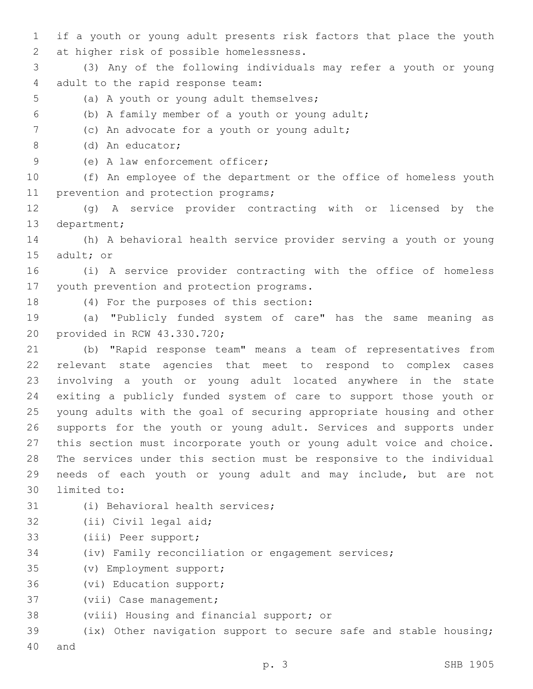1 if a youth or young adult presents risk factors that place the youth 2 at higher risk of possible homelessness.

3 (3) Any of the following individuals may refer a youth or young 4 adult to the rapid response team:

- 5 (a) A youth or young adult themselves;
- (b) A family member of a youth or young adult;6

7 (c) An advocate for a youth or young adult;

(d) An educator;8

9 (e) A law enforcement officer;

10 (f) An employee of the department or the office of homeless youth 11 prevention and protection programs;

12 (g) A service provider contracting with or licensed by the 13 department;

14 (h) A behavioral health service provider serving a youth or young 15 adult; or

16 (i) A service provider contracting with the office of homeless 17 youth prevention and protection programs.

18 (4) For the purposes of this section:

19 (a) "Publicly funded system of care" has the same meaning as 20 provided in RCW 43.330.720;

 (b) "Rapid response team" means a team of representatives from relevant state agencies that meet to respond to complex cases involving a youth or young adult located anywhere in the state exiting a publicly funded system of care to support those youth or young adults with the goal of securing appropriate housing and other supports for the youth or young adult. Services and supports under this section must incorporate youth or young adult voice and choice. The services under this section must be responsive to the individual needs of each youth or young adult and may include, but are not 30 limited to:

- 31 (i) Behavioral health services;
- 32 (ii) Civil legal aid;
- 33 (iii) Peer support;
- 34 (iv) Family reconciliation or engagement services;
- (v) Employment support;35
- 36 (vi) Education support;
- 37 (vii) Case management;
- 38 (viii) Housing and financial support; or

39 (ix) Other navigation support to secure safe and stable housing; 40 and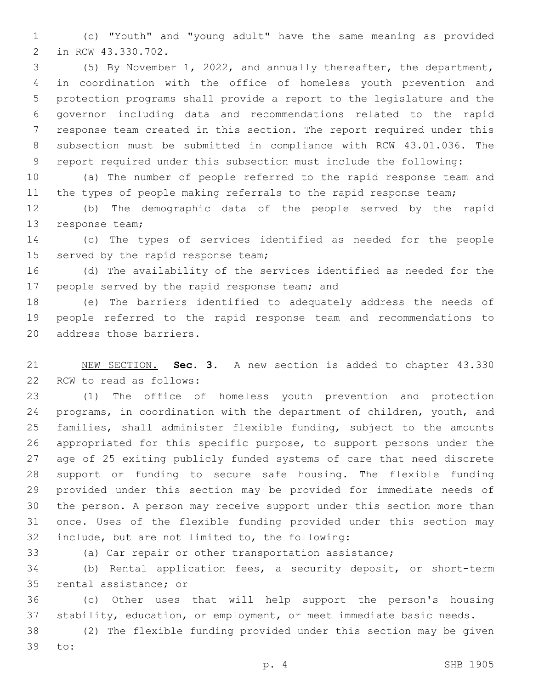(c) "Youth" and "young adult" have the same meaning as provided 2 in RCW 43.330.702.

 (5) By November 1, 2022, and annually thereafter, the department, in coordination with the office of homeless youth prevention and protection programs shall provide a report to the legislature and the governor including data and recommendations related to the rapid response team created in this section. The report required under this subsection must be submitted in compliance with RCW 43.01.036. The report required under this subsection must include the following:

 (a) The number of people referred to the rapid response team and 11 the types of people making referrals to the rapid response team;

 (b) The demographic data of the people served by the rapid 13 response team;

 (c) The types of services identified as needed for the people 15 served by the rapid response team;

 (d) The availability of the services identified as needed for the 17 people served by the rapid response team; and

 (e) The barriers identified to adequately address the needs of people referred to the rapid response team and recommendations to 20 address those barriers.

 NEW SECTION. **Sec. 3.** A new section is added to chapter 43.330 22 RCW to read as follows:

 (1) The office of homeless youth prevention and protection programs, in coordination with the department of children, youth, and families, shall administer flexible funding, subject to the amounts appropriated for this specific purpose, to support persons under the age of 25 exiting publicly funded systems of care that need discrete support or funding to secure safe housing. The flexible funding provided under this section may be provided for immediate needs of the person. A person may receive support under this section more than once. Uses of the flexible funding provided under this section may 32 include, but are not limited to, the following:

(a) Car repair or other transportation assistance;

 (b) Rental application fees, a security deposit, or short-term 35 rental assistance; or

 (c) Other uses that will help support the person's housing stability, education, or employment, or meet immediate basic needs.

 (2) The flexible funding provided under this section may be given 39 to: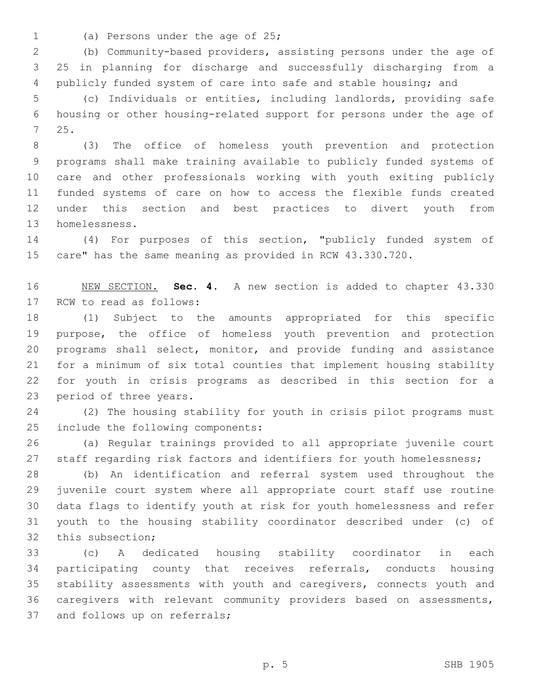- 
- 1 (a) Persons under the age of 25;

 (b) Community-based providers, assisting persons under the age of 25 in planning for discharge and successfully discharging from a publicly funded system of care into safe and stable housing; and

 (c) Individuals or entities, including landlords, providing safe housing or other housing-related support for persons under the age of 25.7

 (3) The office of homeless youth prevention and protection programs shall make training available to publicly funded systems of care and other professionals working with youth exiting publicly funded systems of care on how to access the flexible funds created under this section and best practices to divert youth from 13 homelessness.

 (4) For purposes of this section, "publicly funded system of care" has the same meaning as provided in RCW 43.330.720.

 NEW SECTION. **Sec. 4.** A new section is added to chapter 43.330 17 RCW to read as follows:

 (1) Subject to the amounts appropriated for this specific purpose, the office of homeless youth prevention and protection programs shall select, monitor, and provide funding and assistance for a minimum of six total counties that implement housing stability for youth in crisis programs as described in this section for a 23 period of three years.

 (2) The housing stability for youth in crisis pilot programs must 25 include the following components:

 (a) Regular trainings provided to all appropriate juvenile court 27 staff regarding risk factors and identifiers for youth homelessness;

 (b) An identification and referral system used throughout the juvenile court system where all appropriate court staff use routine data flags to identify youth at risk for youth homelessness and refer youth to the housing stability coordinator described under (c) of 32 this subsection;

 (c) A dedicated housing stability coordinator in each participating county that receives referrals, conducts housing stability assessments with youth and caregivers, connects youth and caregivers with relevant community providers based on assessments, 37 and follows up on referrals;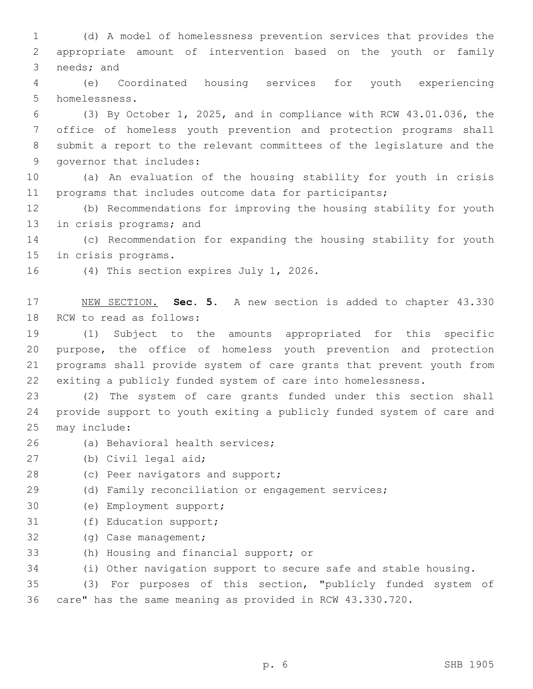1 (d) A model of homelessness prevention services that provides the 2 appropriate amount of intervention based on the youth or family 3 needs; and

4 (e) Coordinated housing services for youth experiencing 5 homelessness.

 (3) By October 1, 2025, and in compliance with RCW 43.01.036, the office of homeless youth prevention and protection programs shall submit a report to the relevant committees of the legislature and the 9 governor that includes:

10 (a) An evaluation of the housing stability for youth in crisis 11 programs that includes outcome data for participants;

12 (b) Recommendations for improving the housing stability for youth 13 in crisis programs; and

14 (c) Recommendation for expanding the housing stability for youth 15 in crisis programs.

16 (4) This section expires July 1, 2026.

17 NEW SECTION. **Sec. 5.** A new section is added to chapter 43.330 18 RCW to read as follows:

 (1) Subject to the amounts appropriated for this specific purpose, the office of homeless youth prevention and protection programs shall provide system of care grants that prevent youth from exiting a publicly funded system of care into homelessness.

23 (2) The system of care grants funded under this section shall 24 provide support to youth exiting a publicly funded system of care and 25 may include:

- 26 (a) Behavioral health services;
- 27 (b) Civil legal aid;
- 28 (c) Peer navigators and support;

29 (d) Family reconciliation or engagement services;

- 30 (e) Employment support;
- 31 (f) Education support;
- 32 (g) Case management;
- 33 (h) Housing and financial support; or

34 (i) Other navigation support to secure safe and stable housing.

35 (3) For purposes of this section, "publicly funded system of 36 care" has the same meaning as provided in RCW 43.330.720.